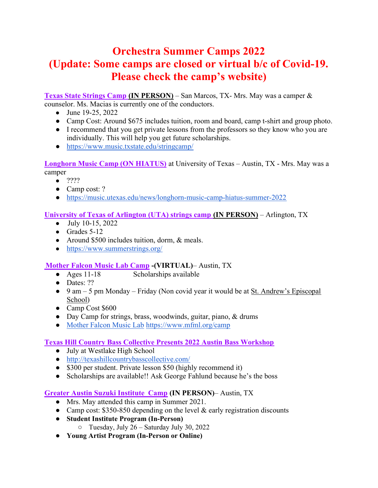### Orchestra Summer Camps 2022 (Update: Some camps are closed or virtual b/c of Covid-19. Please check the camp's website)

Texas State Strings Camp (IN PERSON) – San Marcos, TX- Mrs. May was a camper & counselor. Ms. Macias is currently one of the conductors.

- June 19-25, 2022
- Camp Cost: Around \$675 includes tuition, room and board, camp t-shirt and group photo.
- I recommend that you get private lessons from the professors so they know who you are individually. This will help you get future scholarships.
- https://www.music.txstate.edu/stringcamp/

Longhorn Music Camp (ON HIATUS) at University of Texas – Austin, TX - Mrs. May was a camper

● ????

- Camp cost: ?
- https://music.utexas.edu/news/longhorn-music-camp-hiatus-summer-2022

#### University of Texas of Arlington (UTA) strings camp (IN PERSON) – Arlington, TX

- July 10-15, 2022
- $\bullet$  Grades 5-12
- Around \$500 includes tuition, dorm, & meals.
- https://www.summerstrings.org/

#### Mother Falcon Music Lab Camp -(VIRTUAL)– Austin, TX

- Ages 11-18 Scholarships available
- Dates: ??
- 9 am 5 pm Monday Friday (Non covid year it would be at St. Andrew's Episcopal School)
- Camp Cost \$600
- Day Camp for strings, brass, woodwinds, guitar, piano, & drums
- Mother Falcon Music Lab https://www.mfml.org/camp

#### Texas Hill Country Bass Collective Presents 2022 Austin Bass Workshop

- July at Westlake High School
- http://texashillcountrybasscollective.com/
- \$300 per student. Private lesson \$50 (highly recommend it)
- Scholarships are available!! Ask George Fahlund because he's the boss

#### Greater Austin Suzuki Institute Camp (IN PERSON)– Austin, TX

- Mrs. May attended this camp in Summer 2021.
- Camp cost:  $$350-850$  depending on the level & early registration discounts
- Student Institute Program (In-Person)
	- Tuesday, July 26 Saturday July 30, 2022
- Young Artist Program (In-Person or Online)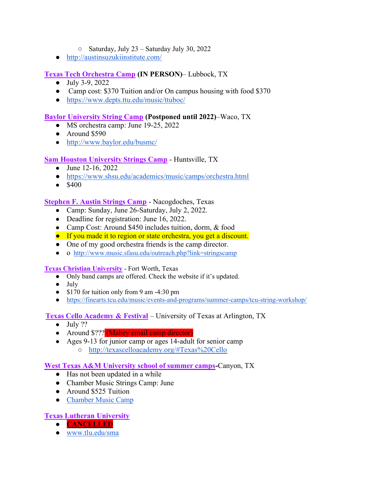- Saturday, July 23 Saturday July 30, 2022
- http://austinsuzukiinstitute.com/

#### Texas Tech Orchestra Camp (IN PERSON)– Lubbock, TX

- July 3-9, 2022
- Camp cost: \$370 Tuition and/or On campus housing with food \$370
- https://www.depts.ttu.edu/music/ttuboc/

#### Baylor University String Camp (Postponed until 2022)–Waco, TX

- MS orchestra camp: June 19-25, 2022
- Around \$590
- http://www.baylor.edu/busmc/

#### Sam Houston University Strings Camp - Huntsville, TX

- June 12-16, 2022
- https://www.shsu.edu/academics/music/camps/orchestra.html
- $•$  \$400

#### Stephen F. Austin Strings Camp - Nacogdoches, Texas

- Camp: Sunday, June 26-Saturday, July 2, 2022.
- Deadline for registration: June 16, 2022.
- Camp Cost: Around \$450 includes tuition, dorm, & food
- If you made it to region or state orchestra, you get a discount.
- One of my good orchestra friends is the camp director.
- o http://www.music.sfasu.edu/outreach.php?link=stringscamp

#### Texas Christian University - Fort Worth, Texas

- Only band camps are offered. Check the website if it's updated.
- July
- \$170 for tuition only from 9 am -4:30 pm
- https://finearts.tcu.edu/music/events-and-programs/summer-camps/tcu-string-workshop/

#### Texas Cello Academy & Festival – University of Texas at Arlington, TX

- $\bullet$  July ??
- Around \$??? (Mabey email camp director)
- Ages 9-13 for junior camp or ages 14-adult for senior camp ○ http://texascelloacademy.org/#Texas%20Cello

#### West Texas A&M University school of summer camps-Canyon, TX

- Has not been updated in a while
- Chamber Music Strings Camp: June
- Around \$525 Tuition
- Chamber Music Camp

#### Texas Lutheran University

- CANCELLED
- www.tlu.edu/sma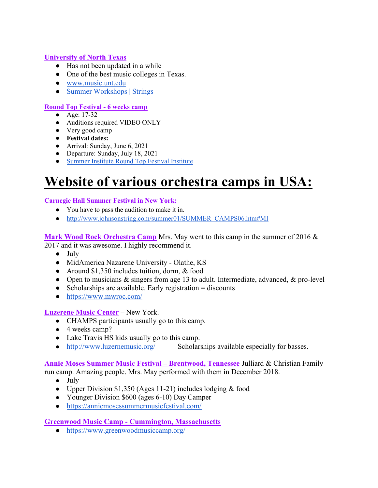#### University of North Texas

- Has not been updated in a while
- One of the best music colleges in Texas.
- www.music.unt.edu
- Summer Workshops | Strings

#### Round Top Festival - 6 weeks camp

- Age: 17-32
- Auditions required VIDEO ONLY
- Very good camp
- Festival dates:
- Arrival: Sunday, June 6, 2021
- Departure: Sunday, July 18, 2021
- Summer Institute Round Top Festival Institute

# Website of various orchestra camps in USA:

#### Carnegie Hall Summer Festival in New York:

- You have to pass the audition to make it in.
- http://www.johnsonstring.com/summer01/SUMMER\_CAMPS06.htm#MI

Mark Wood Rock Orchestra Camp Mrs. May went to this camp in the summer of 2016 & 2017 and it was awesome. I highly recommend it.

- July
- MidAmerica Nazarene University Olathe, KS
- Around \$1,350 includes tuition, dorm, & food
- Open to musicians & singers from age 13 to adult. Intermediate, advanced, & pro-level
- $\bullet$  Scholarships are available. Early registration = discounts
- https://www.mwroc.com/

#### Luzerene Music Center – New York.

- CHAMPS participants usually go to this camp.
- $\bullet$  4 weeks camp?
- Lake Travis HS kids usually go to this camp.
- http://www.luzernemusic.org/ Scholarships available especially for basses.

#### Annie Moses Summer Music Festival – Brentwood, Tennessee Julliard & Christian Family run camp. Amazing people. Mrs. May performed with them in December 2018.

- July
- Upper Division \$1,350 (Ages 11-21) includes lodging & food
- Younger Division \$600 (ages 6-10) Day Camper
- https://anniemosessummermusicfestival.com/

#### Greenwood Music Camp - Cummington, Massachusetts

● https://www.greenwoodmusiccamp.org/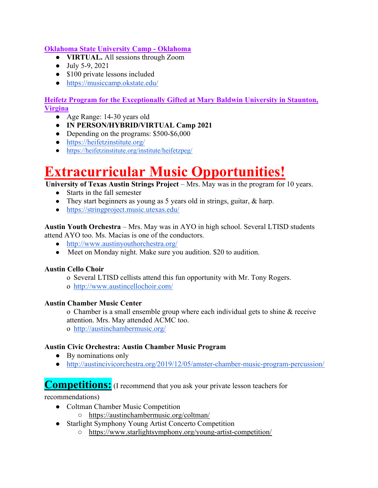#### Oklahoma State University Camp - Oklahoma

- VIRTUAL. All sessions through Zoom
- July 5-9, 2021
- \$100 private lessons included
- https://musiccamp.okstate.edu/

#### Heifetz Program for the Exceptionally Gifted at Mary Baldwin University in Staunton, Virgina

- Age Range: 14-30 years old
- IN PERSON/HYBRID/VIRTUAL Camp 2021
- Depending on the programs: \$500-\$6,000
- https://heifetzinstitute.org/
- https://heifetzinstitute.org/institute/heifetzpeg/

## Extracurricular Music Opportunities!

University of Texas Austin Strings Project – Mrs. May was in the program for 10 years.

- Starts in the fall semester
- They start beginners as young as 5 years old in strings, guitar, & harp.
- https://stringproject.music.utexas.edu/

Austin Youth Orchestra – Mrs. May was in AYO in high school. Several LTISD students attend AYO too. Ms. Macias is one of the conductors.

- http://www.austinyouthorchestra.org/
- Meet on Monday night. Make sure you audition. \$20 to audition.

#### Austin Cello Choir

- o Several LTISD cellists attend this fun opportunity with Mr. Tony Rogers.
- o http://www.austincellochoir.com/

#### Austin Chamber Music Center

o Chamber is a small ensemble group where each individual gets to shine & receive attention. Mrs. May attended ACMC too.

o http://austinchambermusic.org/

#### Austin Civic Orchestra: Austin Chamber Music Program

- By nominations only
- http://austincivicorchestra.org/2019/12/05/amster-chamber-music-program-percussion/

### Competitions: (I recommend that you ask your private lesson teachers for

recommendations)

- Coltman Chamber Music Competition
	- https://austinchambermusic.org/coltman/
- Starlight Symphony Young Artist Concerto Competition
	- https://www.starlightsymphony.org/young-artist-competition/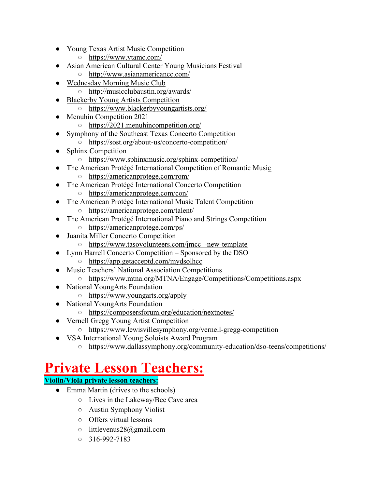- Young Texas Artist Music Competition
	- https://www.ytamc.com/
- Asian American Cultural Center Young Musicians Festival
	- http://www.asianamericancc.com/
- Wednesday Morning Music Club
	- http://musicclubaustin.org/awards/
- **Blackerby Young Artists Competition** 
	- https://www.blackerbyyoungartists.org/
- Menuhin Competition 2021
	- https://2021.menuhincompetition.org/
- Symphony of the Southeast Texas Concerto Competition
	- https://sost.org/about-us/concerto-competition/
- Sphinx Competition
	- https://www.sphinxmusic.org/sphinx-competition/
- The American Protégé International Competition of Romantic Music
	- https://americanprotege.com/rom/
- The American Protégé International Concerto Competition
	- https://americanprotege.com/con/
- The American Protégé International Music Talent Competition
	- https://americanprotege.com/talent/
- The American Protégé International Piano and Strings Competition
	- https://americanprotege.com/ps/
- Juanita Miller Concerto Competition
	- https://www.tasovolunteers.com/jmcc\_-new-template
- Lynn Harrell Concerto Competition Sponsored by the DSO ○ https://app.getacceptd.com/mydsolhcc
	-
- **Music Teachers' National Association Competitions** 
	- https://www.mtna.org/MTNA/Engage/Competitions/Competitions.aspx
- National YoungArts Foundation
	- https://www.youngarts.org/apply
- National YoungArts Foundation
	- https://composersforum.org/education/nextnotes/
- Vernell Gregg Young Artist Competition
	- https://www.lewisvillesymphony.org/vernell-gregg-competition
- VSA International Young Soloists Award Program
	- https://www.dallassymphony.org/community-education/dso-teens/competitions/

## Private Lesson Teachers:

#### Violin/Viola private lesson teachers:

- Emma Martin (drives to the schools)
	- Lives in the Lakeway/Bee Cave area
	- Austin Symphony Violist
	- Offers virtual lessons
	- littlevenus28@gmail.com
	- $0.316 992 7183$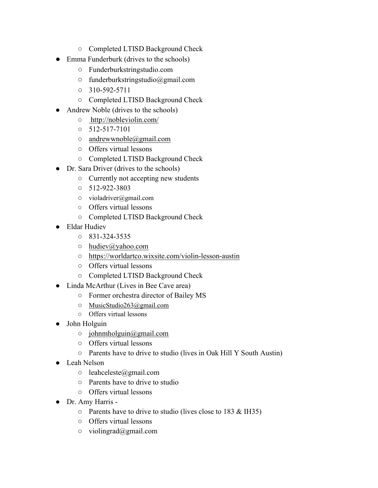- Completed LTISD Background Check
- Emma Funderburk (drives to the schools)
	- Funderburkstringstudio.com
	- funderburkstringstudio@gmail.com
	- $0.310 592 5711$
	- Completed LTISD Background Check
- Andrew Noble (drives to the schools)
	- http://nobleviolin.com/
	- $0.512 517 7101$
	- $\circ$  andrewwnoble@gmail.com
	- Offers virtual lessons
	- Completed LTISD Background Check
- Dr. Sara Driver (drives to the schools)
	- Currently not accepting new students
	- 512-922-3803
	- violadriver@gmail.com
	- Offers virtual lessons
	- Completed LTISD Background Check
- Eldar Hudiev
	- 831-324-3535
	- o hudiev@yahoo.com
	- https://worldartco.wixsite.com/violin-lesson-austin
	- Offers virtual lessons
	- Completed LTISD Background Check
- Linda McArthur (Lives in Bee Cave area)
	- Former orchestra director of Bailey MS
	- MusicStudio263@gmail.com
	- Offers virtual lessons
- John Holguin
	- johnmholguin@gmail.com
	- Offers virtual lessons
	- Parents have to drive to studio (lives in Oak Hill Y South Austin)
- Leah Nelson
	- leahceleste@gmail.com
	- Parents have to drive to studio
	- Offers virtual lessons
- Dr. Amy Harris
	- Parents have to drive to studio (lives close to 183 & IH35)
	- Offers virtual lessons
	- violingrad@gmail.com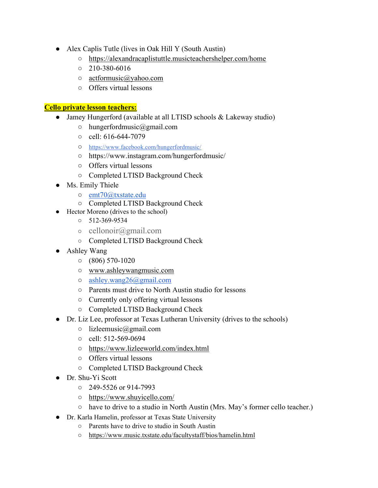- Alex Caplis Tutle (lives in Oak Hill Y (South Austin)
	- https://alexandracaplistuttle.musicteachershelper.com/home
	- $0.210 380 6016$
	- actformusic@yahoo.com
	- Offers virtual lessons

#### Cello private lesson teachers:

- Jamey Hungerford (available at all LTISD schools & Lakeway studio)
	- hungerfordmusic@gmail.com
	- cell: 616-644-7079
	- https://www.facebook.com/hungerfordmusic/
	- https://www.instagram.com/hungerfordmusic/
	- Offers virtual lessons
	- Completed LTISD Background Check
- Ms. Emily Thiele
	- emt70@txstate.edu
	- Completed LTISD Background Check
- Hector Moreno (drives to the school)
	- $0.512 369 9534$
	- $\circ$  cellonoir@gmail.com
	- Completed LTISD Background Check
- Ashley Wang
	- $\circ$  (806) 570-1020
	- www.ashleywangmusic.com
	- ashley.wang26@gmail.com
	- Parents must drive to North Austin studio for lessons
	- Currently only offering virtual lessons
	- Completed LTISD Background Check
- Dr. Liz Lee, professor at Texas Lutheran University (drives to the schools)
	- lizleemusic@gmail.com
	- cell: 512-569-0694
	- https://www.lizleeworld.com/index.html
	- Offers virtual lessons
	- Completed LTISD Background Check
- Dr. Shu-Yi Scott
	- 249-5526 or 914-7993
	- https://www.shuyicello.com/
	- have to drive to a studio in North Austin (Mrs. May's former cello teacher.)
- Dr. Karla Hamelin, professor at Texas State University
	- Parents have to drive to studio in South Austin
	- https://www.music.txstate.edu/facultystaff/bios/hamelin.html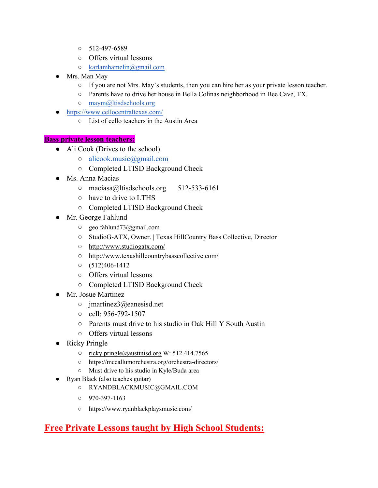- 512-497-6589
- Offers virtual lessons
- karlamhamelin@gmail.com
- Mrs. Man May
	- If you are not Mrs. May's students, then you can hire her as your private lesson teacher.
	- Parents have to drive her house in Bella Colinas neighborhood in Bee Cave, TX.
	- o maym@ltisdschools.org
- https://www.cellocentraltexas.com/
	- List of cello teachers in the Austin Area

#### Bass private lesson teachers:

- Ali Cook (Drives to the school)
	- alicook.music@gmail.com
	- Completed LTISD Background Check
- Ms. Anna Macias
	- maciasa@ltisdschools.org 512-533-6161
	- have to drive to LTHS
	- Completed LTISD Background Check
- Mr. George Fahlund
	- geo.fahlund73@gmail.com
	- StudioG-ATX, Owner. | Texas HillCountry Bass Collective, Director
	- http://www.studiogatx.com/
	- http://www.texashillcountrybasscollective.com/
	- $O \quad (512)406 1412$
	- Offers virtual lessons
	- Completed LTISD Background Check
- Mr. Josue Martinez
	- jmartinez3@eanesisd.net
	- cell: 956-792-1507
	- Parents must drive to his studio in Oak Hill Y South Austin
	- Offers virtual lessons
- Ricky Pringle
	- ricky.pringle@austinisd.org W: 512.414.7565
	- https://mccallumorchestra.org/orchestra-directors/
	- Must drive to his studio in Kyle/Buda area
- Ryan Black (also teaches guitar)
	- RYANDBLACKMUSIC@GMAIL.COM
	- $0$  970-397-1163
	- https://www.ryanblackplaysmusic.com/

### Free Private Lessons taught by High School Students: